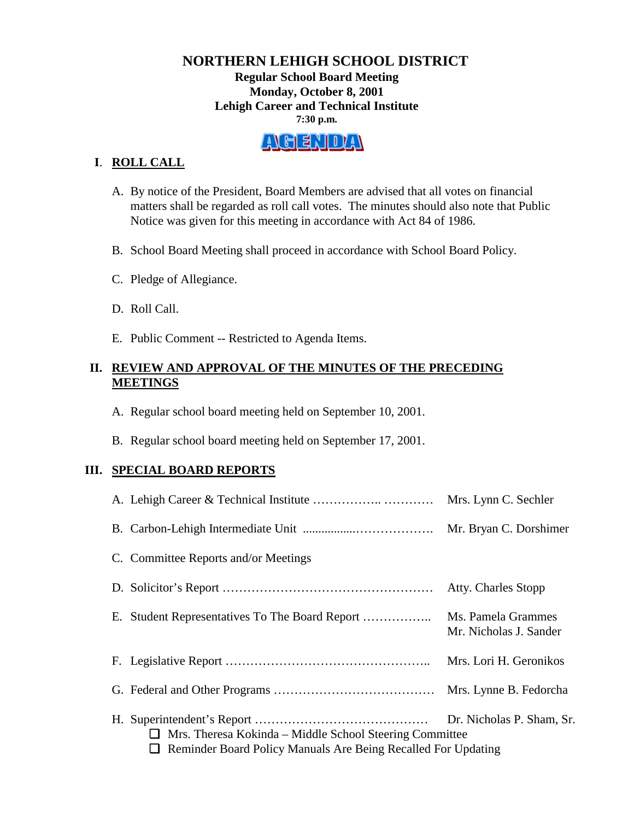### **NORTHERN LEHIGH SCHOOL DISTRICT Regular School Board Meeting Monday, October 8, 2001 Lehigh Career and Technical Institute 7:30 p.m.**

# **VELEMIDAY**

### **I**. **ROLL CALL**

- A. By notice of the President, Board Members are advised that all votes on financial matters shall be regarded as roll call votes. The minutes should also note that Public Notice was given for this meeting in accordance with Act 84 of 1986.
- B. School Board Meeting shall proceed in accordance with School Board Policy.
- C. Pledge of Allegiance.
- D. Roll Call.
- E. Public Comment -- Restricted to Agenda Items.

### **II. REVIEW AND APPROVAL OF THE MINUTES OF THE PRECEDING MEETINGS**

- A. Regular school board meeting held on September 10, 2001.
- B. Regular school board meeting held on September 17, 2001.

## **III. SPECIAL BOARD REPORTS**

|                                                                                                                                             | Mrs. Lynn C. Sechler                         |
|---------------------------------------------------------------------------------------------------------------------------------------------|----------------------------------------------|
|                                                                                                                                             | Mr. Bryan C. Dorshimer                       |
| C. Committee Reports and/or Meetings                                                                                                        |                                              |
|                                                                                                                                             | Atty. Charles Stopp                          |
|                                                                                                                                             | Ms. Pamela Grammes<br>Mr. Nicholas J. Sander |
|                                                                                                                                             | Mrs. Lori H. Geronikos                       |
|                                                                                                                                             |                                              |
| $\Box$ Mrs. Theresa Kokinda – Middle School Steering Committee<br><b>Reminder Board Policy Manuals Are Being Recalled For Updating</b><br>ப | Dr. Nicholas P. Sham, Sr.                    |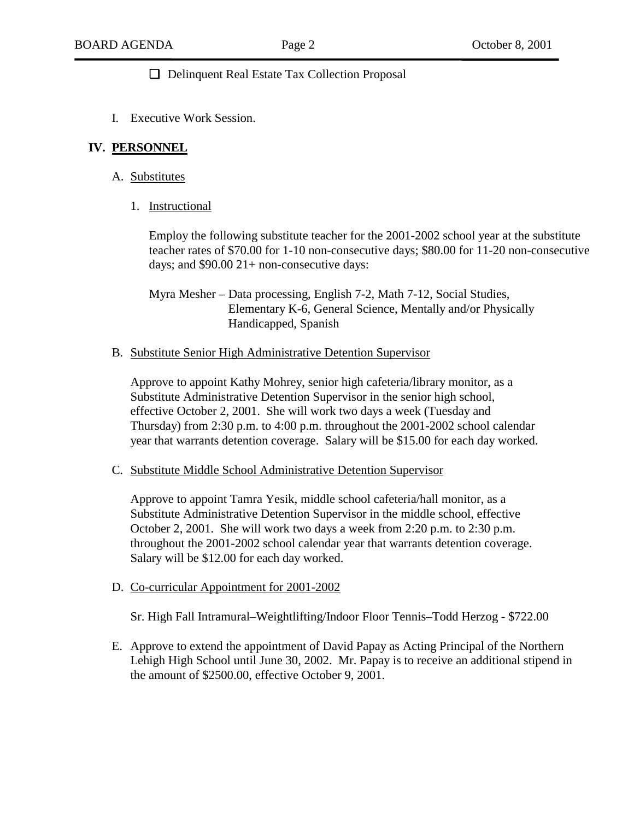❏Delinquent Real Estate Tax Collection Proposal

I. Executive Work Session.

### **IV. PERSONNEL**

- A. Substitutes
	- 1. Instructional

Employ the following substitute teacher for the 2001-2002 school year at the substitute teacher rates of \$70.00 for 1-10 non-consecutive days; \$80.00 for 11-20 non-consecutive days; and \$90.00 21+ non-consecutive days:

Myra Mesher – Data processing, English 7-2, Math 7-12, Social Studies, Elementary K-6, General Science, Mentally and/or Physically Handicapped, Spanish

B. Substitute Senior High Administrative Detention Supervisor

Approve to appoint Kathy Mohrey, senior high cafeteria/library monitor, as a Substitute Administrative Detention Supervisor in the senior high school, effective October 2, 2001. She will work two days a week (Tuesday and Thursday) from 2:30 p.m. to 4:00 p.m. throughout the 2001-2002 school calendar year that warrants detention coverage. Salary will be \$15.00 for each day worked.

C. Substitute Middle School Administrative Detention Supervisor

Approve to appoint Tamra Yesik, middle school cafeteria/hall monitor, as a Substitute Administrative Detention Supervisor in the middle school, effective October 2, 2001. She will work two days a week from 2:20 p.m. to 2:30 p.m. throughout the 2001-2002 school calendar year that warrants detention coverage. Salary will be \$12.00 for each day worked.

D. Co-curricular Appointment for 2001-2002

Sr. High Fall Intramural–Weightlifting/Indoor Floor Tennis–Todd Herzog - \$722.00

E. Approve to extend the appointment of David Papay as Acting Principal of the Northern Lehigh High School until June 30, 2002. Mr. Papay is to receive an additional stipend in the amount of \$2500.00, effective October 9, 2001.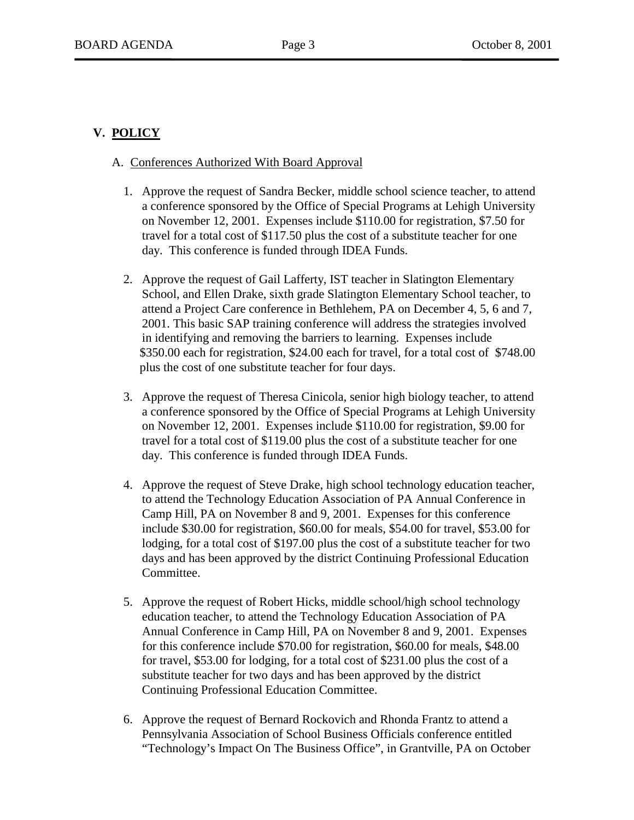### **V. POLICY**

#### A. Conferences Authorized With Board Approval

- 1. Approve the request of Sandra Becker, middle school science teacher, to attend a conference sponsored by the Office of Special Programs at Lehigh University on November 12, 2001. Expenses include \$110.00 for registration, \$7.50 for travel for a total cost of \$117.50 plus the cost of a substitute teacher for one day. This conference is funded through IDEA Funds.
- 2. Approve the request of Gail Lafferty, IST teacher in Slatington Elementary School, and Ellen Drake, sixth grade Slatington Elementary School teacher, to attend a Project Care conference in Bethlehem, PA on December 4, 5, 6 and 7, 2001. This basic SAP training conference will address the strategies involved in identifying and removing the barriers to learning. Expenses include \$350.00 each for registration, \$24.00 each for travel, for a total cost of \$748.00 plus the cost of one substitute teacher for four days.
- 3. Approve the request of Theresa Cinicola, senior high biology teacher, to attend a conference sponsored by the Office of Special Programs at Lehigh University on November 12, 2001. Expenses include \$110.00 for registration, \$9.00 for travel for a total cost of \$119.00 plus the cost of a substitute teacher for one day. This conference is funded through IDEA Funds.
- 4. Approve the request of Steve Drake, high school technology education teacher, to attend the Technology Education Association of PA Annual Conference in Camp Hill, PA on November 8 and 9, 2001. Expenses for this conference include \$30.00 for registration, \$60.00 for meals, \$54.00 for travel, \$53.00 for lodging, for a total cost of \$197.00 plus the cost of a substitute teacher for two days and has been approved by the district Continuing Professional Education Committee.
- 5. Approve the request of Robert Hicks, middle school/high school technology education teacher, to attend the Technology Education Association of PA Annual Conference in Camp Hill, PA on November 8 and 9, 2001. Expenses for this conference include \$70.00 for registration, \$60.00 for meals, \$48.00 for travel, \$53.00 for lodging, for a total cost of \$231.00 plus the cost of a substitute teacher for two days and has been approved by the district Continuing Professional Education Committee.
- 6. Approve the request of Bernard Rockovich and Rhonda Frantz to attend a Pennsylvania Association of School Business Officials conference entitled "Technology's Impact On The Business Office", in Grantville, PA on October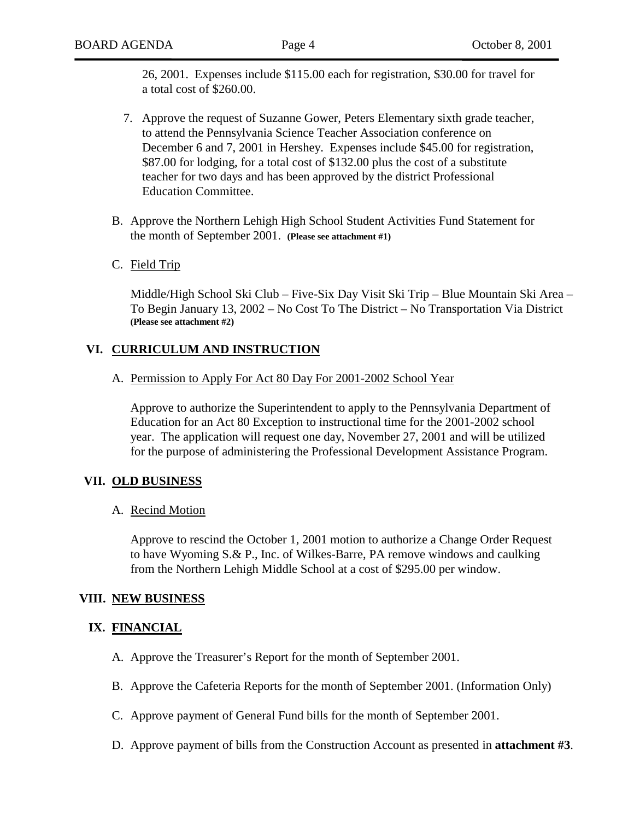26, 2001. Expenses include \$115.00 each for registration, \$30.00 for travel for a total cost of \$260.00.

- 7. Approve the request of Suzanne Gower, Peters Elementary sixth grade teacher, to attend the Pennsylvania Science Teacher Association conference on December 6 and 7, 2001 in Hershey. Expenses include \$45.00 for registration, \$87.00 for lodging, for a total cost of \$132.00 plus the cost of a substitute teacher for two days and has been approved by the district Professional Education Committee.
- B. Approve the Northern Lehigh High School Student Activities Fund Statement for the month of September 2001. **(Please see attachment #1)**
- C. Field Trip

Middle/High School Ski Club – Five-Six Day Visit Ski Trip – Blue Mountain Ski Area – To Begin January 13, 2002 – No Cost To The District – No Transportation Via District **(Please see attachment #2)** 

#### **VI. CURRICULUM AND INSTRUCTION**

A. Permission to Apply For Act 80 Day For 2001-2002 School Year

Approve to authorize the Superintendent to apply to the Pennsylvania Department of Education for an Act 80 Exception to instructional time for the 2001-2002 school year. The application will request one day, November 27, 2001 and will be utilized for the purpose of administering the Professional Development Assistance Program.

#### **VII. OLD BUSINESS**

#### A. Recind Motion

Approve to rescind the October 1, 2001 motion to authorize a Change Order Request to have Wyoming S.& P., Inc. of Wilkes-Barre, PA remove windows and caulking from the Northern Lehigh Middle School at a cost of \$295.00 per window.

#### **VIII. NEW BUSINESS**

#### **IX. FINANCIAL**

- A. Approve the Treasurer's Report for the month of September 2001.
- B. Approve the Cafeteria Reports for the month of September 2001. (Information Only)
- C. Approve payment of General Fund bills for the month of September 2001.
- D. Approve payment of bills from the Construction Account as presented in **attachment #3**.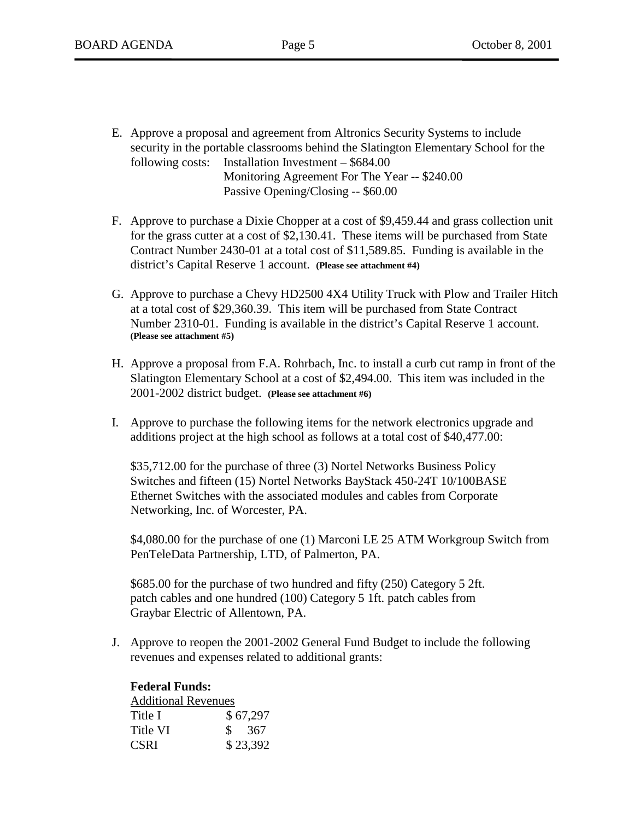- E. Approve a proposal and agreement from Altronics Security Systems to include security in the portable classrooms behind the Slatington Elementary School for the following costs: Installation Investment – \$684.00 Monitoring Agreement For The Year -- \$240.00 Passive Opening/Closing -- \$60.00
- F. Approve to purchase a Dixie Chopper at a cost of \$9,459.44 and grass collection unit for the grass cutter at a cost of \$2,130.41. These items will be purchased from State Contract Number 2430-01 at a total cost of \$11,589.85. Funding is available in the district's Capital Reserve 1 account. **(Please see attachment #4)**
- G. Approve to purchase a Chevy HD2500 4X4 Utility Truck with Plow and Trailer Hitch at a total cost of \$29,360.39. This item will be purchased from State Contract Number 2310-01. Funding is available in the district's Capital Reserve 1 account. **(Please see attachment #5)**
- H. Approve a proposal from F.A. Rohrbach, Inc. to install a curb cut ramp in front of the Slatington Elementary School at a cost of \$2,494.00. This item was included in the 2001-2002 district budget. **(Please see attachment #6)**
- I. Approve to purchase the following items for the network electronics upgrade and additions project at the high school as follows at a total cost of \$40,477.00:

\$35,712.00 for the purchase of three (3) Nortel Networks Business Policy Switches and fifteen (15) Nortel Networks BayStack 450-24T 10/100BASE Ethernet Switches with the associated modules and cables from Corporate Networking, Inc. of Worcester, PA.

\$4,080.00 for the purchase of one (1) Marconi LE 25 ATM Workgroup Switch from PenTeleData Partnership, LTD, of Palmerton, PA.

\$685.00 for the purchase of two hundred and fifty (250) Category 5 2ft. patch cables and one hundred (100) Category 5 1ft. patch cables from Graybar Electric of Allentown, PA.

J. Approve to reopen the 2001-2002 General Fund Budget to include the following revenues and expenses related to additional grants:

#### **Federal Funds:**

 Additional Revenues Title I \$ 67,297 Title VI  $\qquad$  \$ 367 CSRI \$23,392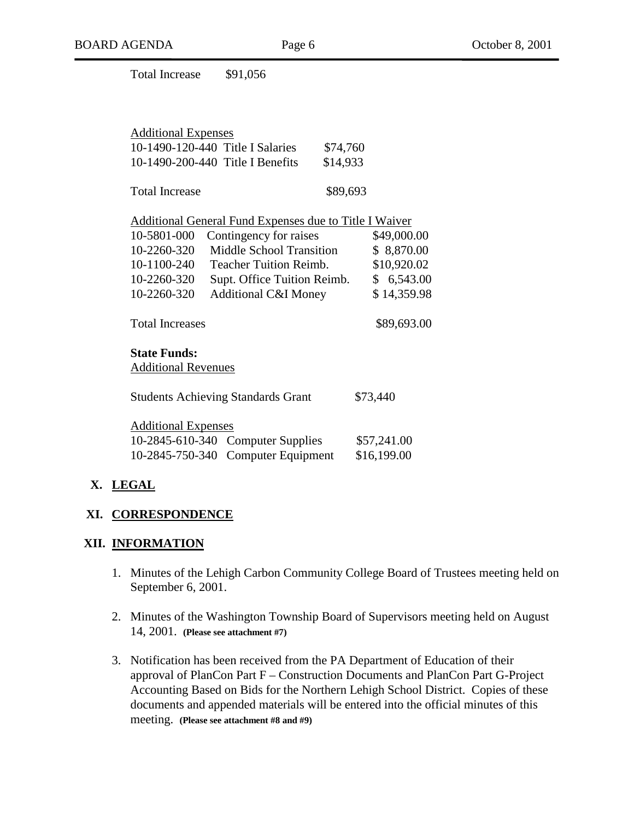Total Increase \$91,056

| <b>Additional Expenses</b>       |          |
|----------------------------------|----------|
| 10-1490-120-440 Title I Salaries | \$74,760 |
| 10-1490-200-440 Title I Benefits | \$14,933 |

| <b>Total Increase</b> | \$89,693 |
|-----------------------|----------|
|-----------------------|----------|

| Additional General Fund Expenses due to Title I Waiver |             |
|--------------------------------------------------------|-------------|
| 10-5801-000 Contingency for raises                     | \$49,000.00 |
| 10-2260-320 Middle School Transition                   | \$ 8,870.00 |

| $10 - 2200 - 320$ | - Mildule School Transition     | 0.010.00    |
|-------------------|---------------------------------|-------------|
| 10-1100-240       | <b>Teacher Tuition Reimb.</b>   | \$10,920.02 |
| 10-2260-320       | Supt. Office Tuition Reimb.     | \$6,543.00  |
| 10-2260-320       | <b>Additional C&amp;I Money</b> | \$14,359.98 |
|                   |                                 |             |

Total Increases  $$89,693.00$ 

**State Funds:** 

Additional Revenues

| <b>Students Achieving Standards Grant</b> | \$73,440 |
|-------------------------------------------|----------|
|-------------------------------------------|----------|

| <b>Additional Expenses</b> |                                    |             |
|----------------------------|------------------------------------|-------------|
|                            | 10-2845-610-340 Computer Supplies  | \$57,241.00 |
|                            | 10-2845-750-340 Computer Equipment | \$16,199.00 |

## **X. LEGAL**

### **XI. CORRESPONDENCE**

## **XII. INFORMATION**

- 1. Minutes of the Lehigh Carbon Community College Board of Trustees meeting held on September 6, 2001.
- 2. Minutes of the Washington Township Board of Supervisors meeting held on August 14, 2001. **(Please see attachment #7)**
- 3. Notification has been received from the PA Department of Education of their approval of PlanCon Part F – Construction Documents and PlanCon Part G-Project Accounting Based on Bids for the Northern Lehigh School District. Copies of these documents and appended materials will be entered into the official minutes of this meeting. **(Please see attachment #8 and #9)**